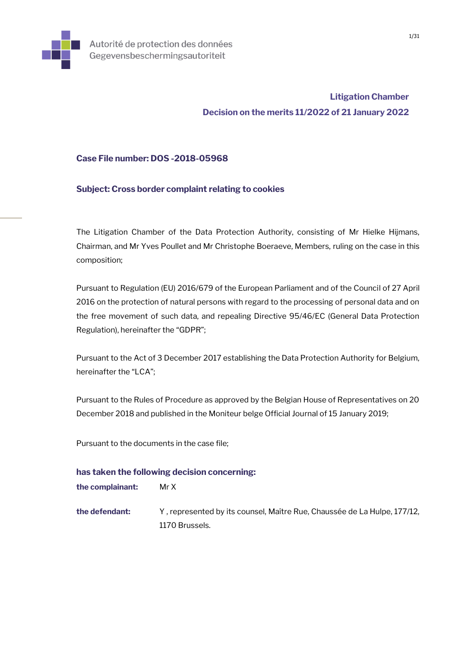

# **Litigation Chamber Decision on the merits 11/2022 of 21 January 2022**

## **Case File number: DOS -2018-05968**

## **Subject: Cross border complaint relating to cookies**

The Litigation Chamber of the Data Protection Authority, consisting of Mr Hielke Hijmans, Chairman, and Mr Yves Poullet and Mr Christophe Boeraeve, Members, ruling on the case in this composition;

Pursuant to Regulation (EU) 2016/679 of the European Parliament and of the Council of 27 April 2016 on the protection of natural persons with regard to the processing of personal data and on the free movement of such data, and repealing Directive 95/46/EC (General Data Protection Regulation), hereinafter the "GDPR";

Pursuant to the Act of 3 December 2017 establishing the Data Protection Authority for Belgium, hereinafter the "LCA";

Pursuant to the Rules of Procedure as approved by the Belgian House of Representatives on 20 December 2018 and published in the Moniteur belge Official Journal of 15 January 2019;

Pursuant to the documents in the case file;

## **has taken the following decision concerning:**

| the complainant: | Mr X |
|------------------|------|
|------------------|------|

**the defendant:** Y , represented by its counsel, Maître Rue, Chaussée de La Hulpe, 177/12, 1170 Brussels.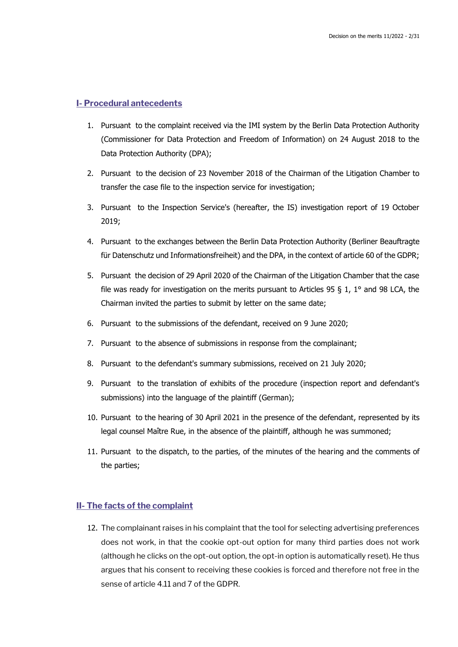### **I- Procedural antecedents**

- 1. Pursuant to the complaint received via the IMI system by the Berlin Data Protection Authority (Commissioner for Data Protection and Freedom of Information) on 24 August 2018 to the Data Protection Authority (DPA);
- 2. Pursuant to the decision of 23 November 2018 of the Chairman of the Litigation Chamber to transfer the case file to the inspection service for investigation;
- 3. Pursuant to the Inspection Service's (hereafter, the IS) investigation report of 19 October 2019;
- 4. Pursuant to the exchanges between the Berlin Data Protection Authority (Berliner Beauftragte für Datenschutz und Informationsfreiheit) and the DPA, in the context of article 60 of the GDPR;
- 5. Pursuant the decision of 29 April 2020 of the Chairman of the Litigation Chamber that the case file was ready for investigation on the merits pursuant to Articles 95 § 1, 1° and 98 LCA, the Chairman invited the parties to submit by letter on the same date;
- 6. Pursuant to the submissions of the defendant, received on 9 June 2020;
- 7. Pursuant to the absence of submissions in response from the complainant;
- 8. Pursuant to the defendant's summary submissions, received on 21 July 2020;
- 9. Pursuant to the translation of exhibits of the procedure (inspection report and defendant's submissions) into the language of the plaintiff (German);
- 10. Pursuant to the hearing of 30 April 2021 in the presence of the defendant, represented by its legal counsel Maître Rue, in the absence of the plaintiff, although he was summoned;
- 11. Pursuant to the dispatch, to the parties, of the minutes of the hearing and the comments of the parties;

## **II- The facts of the complaint**

12. The complainant raises in his complaint that the tool for selecting advertising preferences does not work, in that the cookie opt-out option for many third parties does not work (although he clicks on the opt-out option, the opt-in option is automatically reset). He thus argues that his consent to receiving these cookies is forced and therefore not free in the sense of article 4.11 and 7 of the GDPR.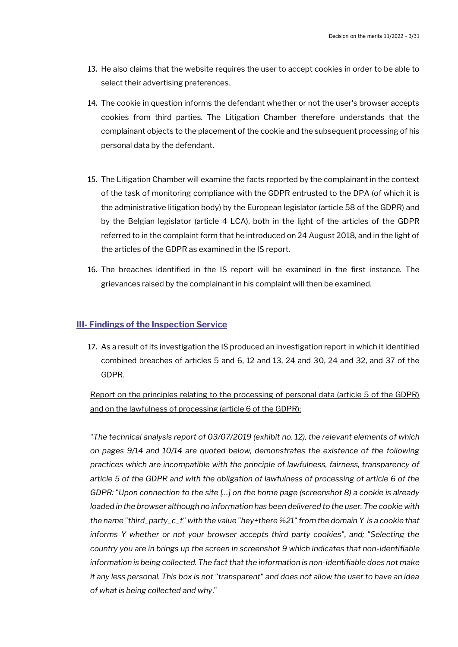- 13. He also claims that the website requires the user to accept cookies in order to be able to select their advertising preferences.
- 14. The cookie in question informs the defendant whether or not the user's browser accepts cookies from third parties. The Litigation Chamber therefore understands that the complainant objects to the placement of the cookie and the subsequent processing of his personal data by the defendant.
- 15. The Litigation Chamber will examine the facts reported by the complainant in the context of the task of monitoring compliance with the GDPR entrusted to the DPA (of which it is the administrative litigation body) by the European legislator (article 58 of the GDPR) and by the Belgian legislator (article 4 LCA), both in the light of the articles of the GDPR referred to in the complaint form that he introduced on 24 August 2018, and in the light of the articles of the GDPR as examined in the IS report.
- 16. The breaches identified in the IS report will be examined in the first instance. The grievances raised by the complainant in his complaint will then be examined.

### **III- Findings of the Inspection Service**

17. As a result of its investigation the IS produced an investigation report in which it identified combined breaches of articles 5 and 6, 12 and 13, 24 and 30, 24 and 32, and 37 of the GDPR.

## Report on the principles relating to the processing of personal data (article 5 of the GDPR) and on the lawfulness of processing (article 6 of the GDPR):

"*The technical analysis report of 03/07/2019 (exhibit no. 12), the relevant elements of which on pages 9/14 and 10/14 are quoted below, demonstrates the existence of the following practices which are incompatible with the principle of lawfulness, fairness, transparency of article 5 of the GDPR and with the obligation of lawfulness of processing of article 6 of the GDPR: "Upon connection to the site […] on the home page (screenshot 8) a cookie is already*  loaded in the browser although no information has been delivered to the user. The cookie with *the name "third\_party\_c\_t" with the value "hey+there %21" from the domain Y is a cookie that informs Y whether or not your browser accepts third party cookies", and; "Selecting the country you are in brings up the screen in screenshot 9 which indicates that non-identifiable information is being collected. The fact that the information is non-identifiable does not make it any less personal. This box is not "transparent" and does not allow the user to have an idea of what is being collected and why*."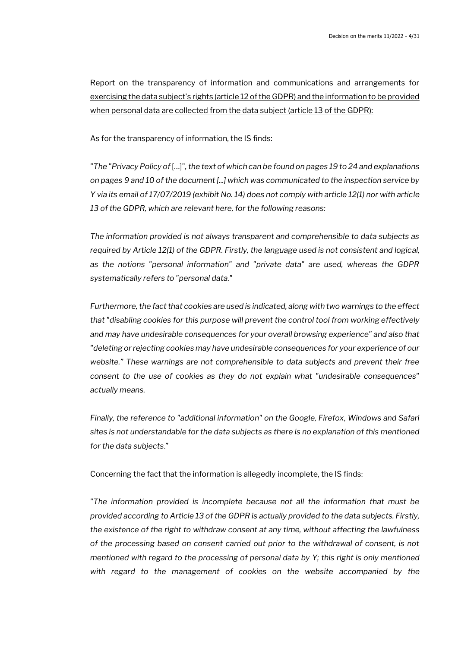Report on the transparency of information and communications and arrangements for exercising the data subject's rights (article 12 of the GDPR) and the information to be provided when personal data are collected from the data subject (article 13 of the GDPR):

As for the transparency of information, the IS finds:

*"The "Privacy Policy of* […]"*, the text of which can be found on pages 19 to 24 and explanations on pages 9 and 10 of the document [...] which was communicated to the inspection service by Y via its email of 17/07/2019 (exhibit No. 14) does not comply with article 12(1) nor with article 13 of the GDPR, which are relevant here, for the following reasons:* 

*The information provided is not always transparent and comprehensible to data subjects as required by Article 12(1) of the GDPR. Firstly, the language used is not consistent and logical, as the notions "personal information" and "private data" are used, whereas the GDPR systematically refers to "personal data."*

Furthermore, the fact that cookies are used is indicated, along with two warnings to the effect *that "disabling cookies for this purpose will prevent the control tool from working effectively and may have undesirable consequences for your overall browsing experience" and also that "deleting or rejecting cookies may have undesirable consequences for your experience of our website." These warnings are not comprehensible to data subjects and prevent their free consent to the use of cookies as they do not explain what "undesirable consequences" actually means.*

*Finally, the reference to "additional information" on the Google, Firefox, Windows and Safari sites is not understandable for the data subjects as there is no explanation of this mentioned for the data subjects*."

Concerning the fact that the information is allegedly incomplete, the IS finds:

*"The information provided is incomplete because not all the information that must be provided according to Article 13 of the GDPR is actually provided to the data subjects. Firstly, the existence of the right to withdraw consent at any time, without affecting the lawfulness of the processing based on consent carried out prior to the withdrawal of consent, is not mentioned with regard to the processing of personal data by Y; this right is only mentioned with regard to the management of cookies on the website accompanied by the*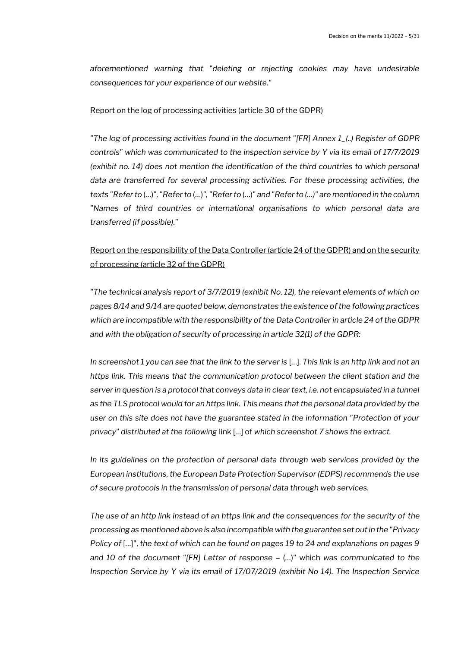*aforementioned warning that "deleting or rejecting cookies may have undesirable consequences for your experience of our website."*

#### Report on the log of processing activities (article 30 of the GDPR)

*"The log of processing activities found in the document "[FR] Annex 1\_(..) Register of GDPR controls" which was communicated to the inspection service by Y via its email of 17/7/2019 (exhibit no. 14) does not mention the identification of the third countries to which personal data are transferred for several processing activities. For these processing activities, the texts "Refer to* (…)"*, "Refer to* (…)*", "Refer to* (…)" *and "Refer to (…)" are mentioned in the column "Names of third countries or international organisations to which personal data are transferred (if possible)."*

## Report on the responsibility of the Data Controller (article 24 of the GDPR) and on the security of processing (article 32 of the GDPR)

*"The technical analysis report of 3/7/2019 (exhibit No. 12), the relevant elements of which on pages 8/14 and 9/14 are quoted below, demonstrates the existence of the following practices*  which are incompatible with the responsibility of the Data Controller in article 24 of the GDPR *and with the obligation of security of processing in article 32(1) of the GDPR:*

*In screenshot 1 you can see that the link to the server is* […]. *This link is an http link and not an https link. This means that the communication protocol between the client station and the*  server in question is a protocol that conveys data in clear text, i.e. not encapsulated in a tunnel *as the TLS protocol would for an https link. This means that the personal data provided by the user on this site does not have the guarantee stated in the information "Protection of your privacy" distributed at the following* link […] of *which screenshot 7 shows the extract.*

*In its guidelines on the protection of personal data through web services provided by the European institutions, the European Data Protection Supervisor (EDPS) recommends the use of secure protocols in the transmission of personal data through web services.* 

*The use of an http link instead of an https link and the consequences for the security of the processing as mentioned above is also incompatible with the guarantee set out in the "Privacy Policy of* […]", *the text of which can be found on pages 19 to 24 and explanations on pages 9 and 10 of the document "[FR] Letter of response –* (…)" which *was communicated to the Inspection Service by Y via its email of 17/07/2019 (exhibit No 14). The Inspection Service*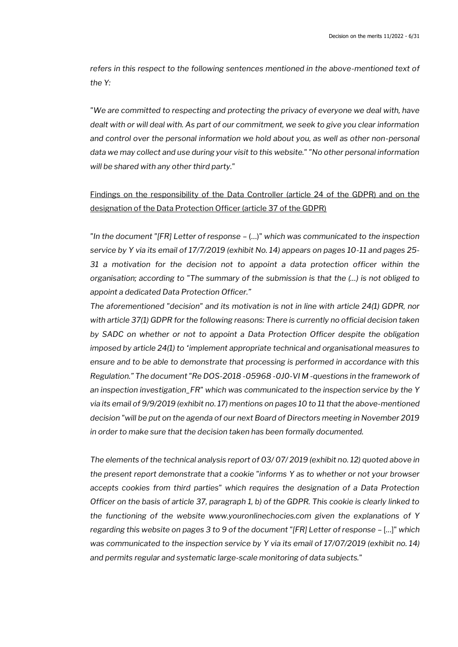*refers in this respect to the following sentences mentioned in the above-mentioned text of the Y:*

*"We are committed to respecting and protecting the privacy of everyone we deal with, have dealt with or will deal with. As part of our commitment, we seek to give you clear information and control over the personal information we hold about you, as well as other non-personal data we may collect and use during your visit to this website." "No other personal information will be shared with any other third party."*

## Findings on the responsibility of the Data Controller (article 24 of the GDPR) and on the designation of the Data Protection Officer (article 37 of the GDPR)

*"In the document "[FR] Letter of response –* (…)" *which was communicated to the inspection service by Y via its email of 17/7/2019 (exhibit No. 14) appears on pages 10-11 and pages 25- 31 a motivation for the decision not to appoint a data protection officer within the organisation; according to "The summary of the submission is that the (…) is not obliged to appoint a dedicated Data Protection Officer."*

*The aforementioned "decision" and its motivation is not in line with article 24(1) GDPR, nor with article 37(1) GDPR for the following reasons: There is currently no official decision taken by SADC on whether or not to appoint a Data Protection Officer despite the obligation imposed by article 24(1) to "implement appropriate technical and organisational measures to ensure and to be able to demonstrate that processing is performed in accordance with this Regulation." The document "Re DOS-2018 -05968 -0J0-VI M -questions in the framework of an inspection investigation\_FR" which was communicated to the inspection service by the Y via its email of 9/9/2019 (exhibit no. 17) mentions on pages 10 to 11 that the above-mentioned decision "will be put on the agenda of our next Board of Directors meeting in November 2019 in order to make sure that the decision taken has been formally documented.*

*The elements of the technical analysis report of 03/ 07/ 2019 (exhibit no. 12) quoted above in the present report demonstrate that a cookie "informs Y as to whether or not your browser accepts cookies from third parties" which requires the designation of a Data Protection Officer on the basis of article 37, paragraph 1, b) of the GDPR. This cookie is clearly linked to the functioning of the website www.youronlinechocies.com given the explanations of Y regarding this website on pages 3 to 9 of the document "[FR] Letter of response – [...]" which was communicated to the inspection service by Y via its email of 17/07/2019 (exhibit no. 14) and permits regular and systematic large-scale monitoring of data subjects."*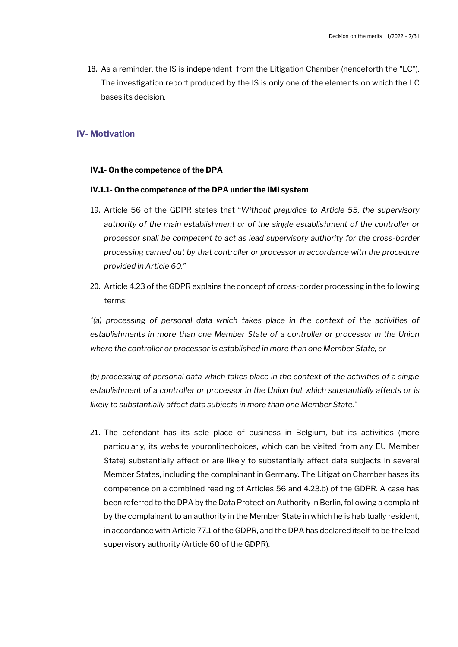18. As a reminder, the IS is independent from the Litigation Chamber (henceforth the "LC"). The investigation report produced by the IS is only one of the elements on which the LC bases its decision.

## **IV- Motivation**

#### **IV.1- On the competence of the DPA**

#### **IV.1.1- On the competence of the DPA under the IMI system**

- 19. Article 56 of the GDPR states that "*Without prejudice to Article 55, the supervisory authority of the main establishment or of the single establishment of the controller or processor shall be competent to act as lead supervisory authority for the cross-border processing carried out by that controller or processor in accordance with the procedure provided in Article 60."*
- 20. Article 4.23 of the GDPR explains the concept of cross-border processing in the following terms:

 $'$ (a) processing of personal data which takes place in the context of the activities of *establishments in more than one Member State of a controller or processor in the Union where the controller or processor is established in more than one Member State; or*

*(b) processing of personal data which takes place in the context of the activities of a single*  establishment of a controller or processor in the Union but which substantially affects or is *likely to substantially affect data subjects in more than one Member State."*

21. The defendant has its sole place of business in Belgium, but its activities (more particularly, its website youronlinechoices, which can be visited from any EU Member State) substantially affect or are likely to substantially affect data subjects in several Member States, including the complainant in Germany. The Litigation Chamber bases its competence on a combined reading of Articles 56 and 4.23.b) of the GDPR. A case has been referred to the DPA by the Data Protection Authority in Berlin, following a complaint by the complainant to an authority in the Member State in which he is habitually resident, in accordance with Article 77.1 of the GDPR, and the DPA has declared itself to be the lead supervisory authority (Article 60 of the GDPR).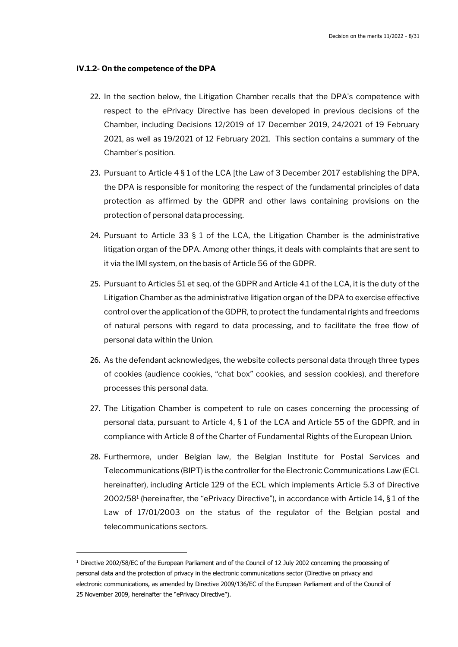#### **IV.1.2- On the competence of the DPA**

- 22. In the section below, the Litigation Chamber recalls that the DPA's competence with respect to the ePrivacy Directive has been developed in previous decisions of the Chamber, including Decisions 12/2019 of 17 December 2019, 24/2021 of 19 February 2021, as well as 19/2021 of 12 February 2021. This section contains a summary of the Chamber's position.
- 23. Pursuant to Article 4 § 1 of the LCA [the Law of 3 December 2017 establishing the DPA, the DPA is responsible for monitoring the respect of the fundamental principles of data protection as affirmed by the GDPR and other laws containing provisions on the protection of personal data processing.
- 24. Pursuant to Article 33 § 1 of the LCA, the Litigation Chamber is the administrative litigation organ of the DPA. Among other things, it deals with complaints that are sent to it via the IMI system, on the basis of Article 56 of the GDPR.
- 25. Pursuant to Articles 51 et seq. of the GDPR and Article 4.1 of the LCA, it is the duty of the Litigation Chamber as the administrative litigation organ of the DPA to exercise effective control over the application of the GDPR, to protect the fundamental rights and freedoms of natural persons with regard to data processing, and to facilitate the free flow of personal data within the Union.
- 26. As the defendant acknowledges, the website collects personal data through three types of cookies (audience cookies, "chat box" cookies, and session cookies), and therefore processes this personal data.
- 27. The Litigation Chamber is competent to rule on cases concerning the processing of personal data, pursuant to Article 4, § 1 of the LCA and Article 55 of the GDPR, and in compliance with Article 8 of the Charter of Fundamental Rights of the European Union.
- 28. Furthermore, under Belgian law, the Belgian Institute for Postal Services and Telecommunications (BIPT) is the controller for the Electronic Communications Law (ECL hereinafter), including Article 129 of the ECL which implements Article 5.3 of Directive 2002/58<sup>1</sup> (hereinafter, the "ePrivacy Directive"), in accordance with Article 14, § 1 of the Law of 17/01/2003 on the status of the regulator of the Belgian postal and telecommunications sectors.

<sup>1</sup> Directive 2002/58/EC of the European Parliament and of the Council of 12 July 2002 concerning the processing of personal data and the protection of privacy in the electronic communications sector (Directive on privacy and electronic communications, as amended by Directive 2009/136/EC of the European Parliament and of the Council of 25 November 2009, hereinafter the "ePrivacy Directive").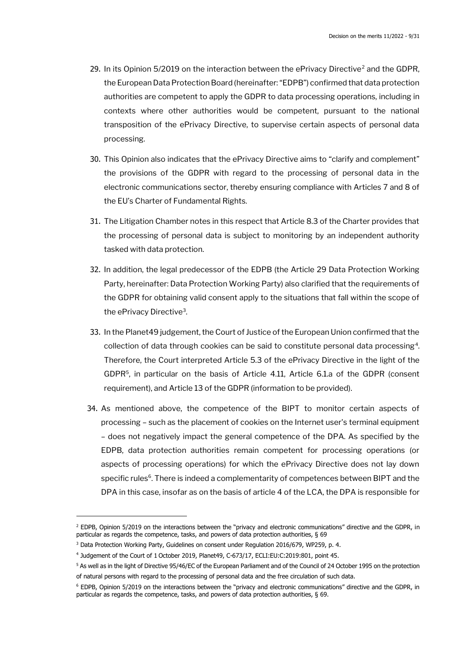- 29. In its Opinion 5/2019 on the interaction between the ePrivacy Directive<sup>2</sup> and the GDPR. the European Data Protection Board (hereinafter: "EDPB") confirmed that data protection authorities are competent to apply the GDPR to data processing operations, including in contexts where other authorities would be competent, pursuant to the national transposition of the ePrivacy Directive, to supervise certain aspects of personal data processing.
- 30. This Opinion also indicates that the ePrivacy Directive aims to "clarify and complement" the provisions of the GDPR with regard to the processing of personal data in the electronic communications sector, thereby ensuring compliance with Articles 7 and 8 of the EU's Charter of Fundamental Rights.
- 31. The Litigation Chamber notes in this respect that Article 8.3 of the Charter provides that the processing of personal data is subject to monitoring by an independent authority tasked with data protection.
- 32. In addition, the legal predecessor of the EDPB (the Article 29 Data Protection Working Party, hereinafter: Data Protection Working Party) also clarified that the requirements of the GDPR for obtaining valid consent apply to the situations that fall within the scope of the ePrivacy Directive<sup>3</sup> .
- 33. In the Planet49 judgement, the Court of Justice of the European Union confirmed that the collection of data through cookies can be said to constitute personal data processing<sup>4</sup> . Therefore, the Court interpreted Article 5.3 of the ePrivacy Directive in the light of the GDPR<sup>5</sup>, in particular on the basis of Article 4.11, Article 6.1.a of the GDPR (consent requirement), and Article 13 of the GDPR (information to be provided).
- 34. As mentioned above, the competence of the BIPT to monitor certain aspects of processing – such as the placement of cookies on the Internet user's terminal equipment – does not negatively impact the general competence of the DPA. As specified by the EDPB, data protection authorities remain competent for processing operations (or aspects of processing operations) for which the ePrivacy Directive does not lay down specific rules<sup>6</sup>. There is indeed a complementarity of competences between BIPT and the DPA in this case, insofar as on the basis of article 4 of the LCA, the DPA is responsible for

<sup>2</sup> EDPB, Opinion 5/2019 on the interactions between the "privacy and electronic communications" directive and the GDPR, in particular as regards the competence, tasks, and powers of data protection authorities, § 69

<sup>&</sup>lt;sup>3</sup> Data Protection Working Party, Guidelines on consent under Regulation 2016/679, WP259, p. 4.

<sup>4</sup> Judgement of the Court of 1 October 2019, Planet49, C-673/17, ECLI:EU:C:2019:801, point 45.

<sup>&</sup>lt;sup>5</sup> As well as in the light of Directive 95/46/EC of the European Parliament and of the Council of 24 October 1995 on the protection of natural persons with regard to the processing of personal data and the free circulation of such data.

<sup>6</sup> EDPB, Opinion 5/2019 on the interactions between the "privacy and electronic communications" directive and the GDPR, in particular as regards the competence, tasks, and powers of data protection authorities, § 69.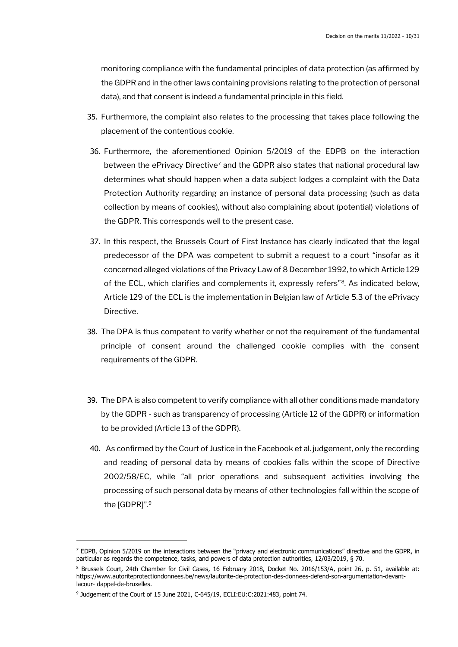monitoring compliance with the fundamental principles of data protection (as affirmed by the GDPR and in the other laws containing provisions relating to the protection of personal data), and that consent is indeed a fundamental principle in this field.

- 35. Furthermore, the complaint also relates to the processing that takes place following the placement of the contentious cookie.
- 36. Furthermore, the aforementioned Opinion 5/2019 of the EDPB on the interaction between the ePrivacy Directive<sup>7</sup> and the GDPR also states that national procedural law determines what should happen when a data subject lodges a complaint with the Data Protection Authority regarding an instance of personal data processing (such as data collection by means of cookies), without also complaining about (potential) violations of the GDPR. This corresponds well to the present case.
- 37. In this respect, the Brussels Court of First Instance has clearly indicated that the legal predecessor of the DPA was competent to submit a request to a court "insofar as it concerned alleged violations of the Privacy Law of 8 December 1992, to which Article 129 of the ECL, which clarifies and complements it, expressly refers"<sup>8</sup>. As indicated below, Article 129 of the ECL is the implementation in Belgian law of Article 5.3 of the ePrivacy Directive.
- 38. The DPA is thus competent to verify whether or not the requirement of the fundamental principle of consent around the challenged cookie complies with the consent requirements of the GDPR.
- 39. The DPA is also competent to verify compliance with all other conditions made mandatory by the GDPR - such as transparency of processing (Article 12 of the GDPR) or information to be provided (Article 13 of the GDPR).
- 40. As confirmed by the Court of Justice in the Facebook et al. judgement, only the recording and reading of personal data by means of cookies falls within the scope of Directive 2002/58/EC, while "all prior operations and subsequent activities involving the processing of such personal data by means of other technologies fall within the scope of the [GDPR]".<sup>9</sup>

 $<sup>7</sup>$  EDPB, Opinion 5/2019 on the interactions between the "privacy and electronic communications" directive and the GDPR, in</sup> particular as regards the competence, tasks, and powers of data protection authorities, 12/03/2019, § 70.

<sup>8</sup> Brussels Court, 24th Chamber for Civil Cases, 16 February 2018, Docket No. 2016/153/A, point 26, p. 51, available at: https://www.autoriteprotectiondonnees.be/news/lautorite-de-protection-des-donnees-defend-son-argumentation-devantlacour- dappel-de-bruxelles.

<sup>&</sup>lt;sup>9</sup> Judgement of the Court of 15 June 2021, C-645/19, ECLI:EU:C:2021:483, point 74.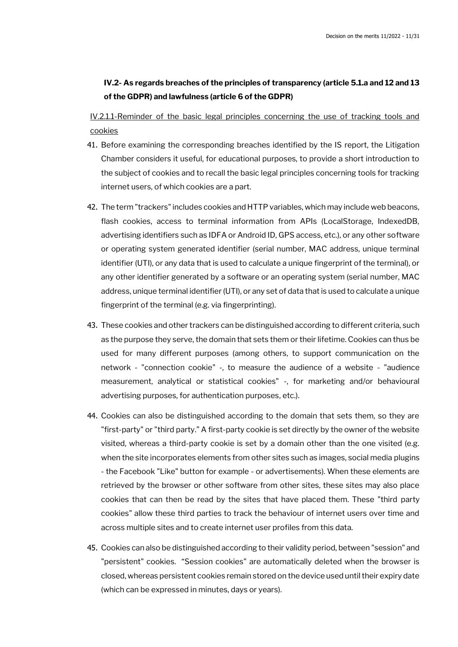## **IV.2- As regards breaches of the principles of transparency (article 5.1.a and 12 and 13 of the GDPR) and lawfulness (article 6 of the GDPR)**

IV.2.1.1-Reminder of the basic legal principles concerning the use of tracking tools and cookies

- 41. Before examining the corresponding breaches identified by the IS report, the Litigation Chamber considers it useful, for educational purposes, to provide a short introduction to the subject of cookies and to recall the basic legal principles concerning tools for tracking internet users, of which cookies are a part.
- 42. The term "trackers" includes cookies and HTTP variables, which may include web beacons, flash cookies, access to terminal information from APIs (LocalStorage, IndexedDB, advertising identifiers such as IDFA or Android ID, GPS access, etc.), or any other software or operating system generated identifier (serial number, MAC address, unique terminal identifier (UTI), or any data that is used to calculate a unique fingerprint of the terminal), or any other identifier generated by a software or an operating system (serial number, MAC address, unique terminal identifier (UTI), or any set of data that is used to calculate a unique fingerprint of the terminal (e.g. via fingerprinting).
- 43. These cookies and other trackers can be distinguished according to different criteria, such as the purpose they serve, the domain that sets them or their lifetime. Cookies can thus be used for many different purposes (among others, to support communication on the network - "connection cookie" -, to measure the audience of a website - "audience measurement, analytical or statistical cookies" -, for marketing and/or behavioural advertising purposes, for authentication purposes, etc.).
- 44. Cookies can also be distinguished according to the domain that sets them, so they are "first-party" or "third party." A first-party cookie is set directly by the owner of the website visited, whereas a third-party cookie is set by a domain other than the one visited (e.g. when the site incorporates elements from other sites such as images, social media plugins - the Facebook "Like" button for example - or advertisements). When these elements are retrieved by the browser or other software from other sites, these sites may also place cookies that can then be read by the sites that have placed them. These "third party cookies" allow these third parties to track the behaviour of internet users over time and across multiple sites and to create internet user profiles from this data.
- 45. Cookies can also be distinguished according to their validity period, between "session" and "persistent" cookies. "Session cookies" are automatically deleted when the browser is closed, whereas persistent cookies remain stored on the device used until their expiry date (which can be expressed in minutes, days or years).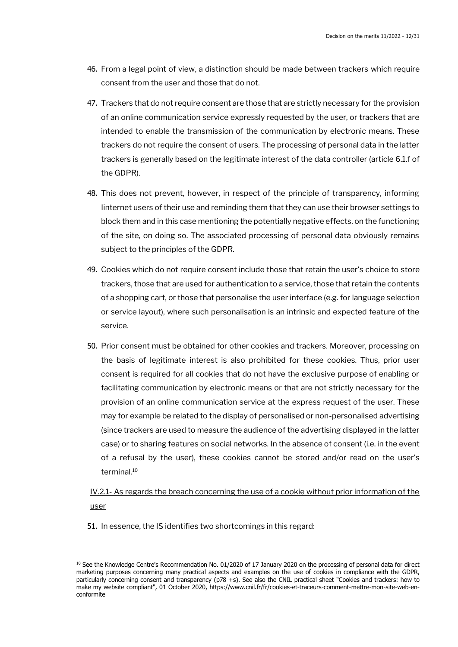- 46. From a legal point of view, a distinction should be made between trackers which require consent from the user and those that do not.
- 47. Trackers that do not require consent are those that are strictly necessary for the provision of an online communication service expressly requested by the user, or trackers that are intended to enable the transmission of the communication by electronic means. These trackers do not require the consent of users. The processing of personal data in the latter trackers is generally based on the legitimate interest of the data controller (article 6.1.f of the GDPR).
- 48. This does not prevent, however, in respect of the principle of transparency, informing Iinternet users of their use and reminding them that they can use their browser settings to block them and in this case mentioning the potentially negative effects, on the functioning of the site, on doing so. The associated processing of personal data obviously remains subject to the principles of the GDPR.
- 49. Cookies which do not require consent include those that retain the user's choice to store trackers, those that are used for authentication to a service, those that retain the contents of a shopping cart, or those that personalise the user interface (e.g. for language selection or service layout), where such personalisation is an intrinsic and expected feature of the service.
- 50. Prior consent must be obtained for other cookies and trackers. Moreover, processing on the basis of legitimate interest is also prohibited for these cookies. Thus, prior user consent is required for all cookies that do not have the exclusive purpose of enabling or facilitating communication by electronic means or that are not strictly necessary for the provision of an online communication service at the express request of the user. These may for example be related to the display of personalised or non-personalised advertising (since trackers are used to measure the audience of the advertising displayed in the latter case) or to sharing features on social networks. In the absence of consent (i.e. in the event of a refusal by the user), these cookies cannot be stored and/or read on the user's terminal.<sup>10</sup>

IV.2.1- As regards the breach concerning the use of a cookie without prior information of the user

51. In essence, the IS identifies two shortcomings in this regard:

<sup>&</sup>lt;sup>10</sup> See the Knowledge Centre's Recommendation No. 01/2020 of 17 January 2020 on the processing of personal data for direct marketing purposes concerning many practical aspects and examples on the use of cookies in compliance with the GDPR, particularly concerning consent and transparency (p78 +s). See also the CNIL practical sheet "Cookies and trackers: how to make my website compliant", 01 October 2020, https://www.cnil.fr/fr/cookies-et-traceurs-comment-mettre-mon-site-web-enconformite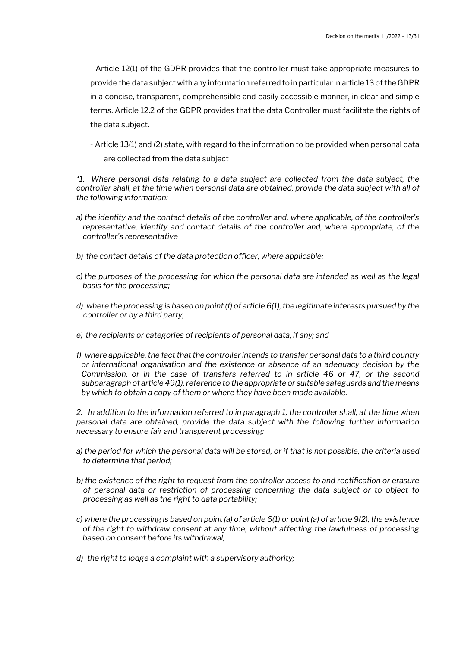- Article 12(1) of the GDPR provides that the controller must take appropriate measures to provide the data subject with any information referred to in particular in article 13 of the GDPR in a concise, transparent, comprehensible and easily accessible manner, in clear and simple terms. Article 12.2 of the GDPR provides that the data Controller must facilitate the rights of the data subject.

- Article 13(1) and (2) state, with regard to the information to be provided when personal data are collected from the data subject

*"1. Where personal data relating to a data subject are collected from the data subject, the controller shall, at the time when personal data are obtained, provide the data subject with all of the following information:*

- *a) the identity and the contact details of the controller and, where applicable, of the controller's representative; identity and contact details of the controller and, where appropriate, of the controller's representative*
- *b) the contact details of the data protection officer, where applicable;*
- *c) the purposes of the processing for which the personal data are intended as well as the legal basis for the processing;*
- *d) where the processing is based on point (f) of article 6(1), the legitimate interests pursued by the controller or by a third party;*
- *e) the recipients or categories of recipients of personal data, if any; and*
- *f) where applicable, the fact that the controller intends to transfer personal data to a third country or international organisation and the existence or absence of an adequacy decision by the Commission, or in the case of transfers referred to in article 46 or 47, or the second subparagraph of article 49(1), reference to the appropriate or suitable safeguards and the means by which to obtain a copy of them or where they have been made available.*

*2. In addition to the information referred to in paragraph 1, the controller shall, at the time when personal data are obtained, provide the data subject with the following further information necessary to ensure fair and transparent processing:*

- *a) the period for which the personal data will be stored, or if that is not possible, the criteria used to determine that period;*
- *b) the existence of the right to request from the controller access to and rectification or erasure of personal data or restriction of processing concerning the data subject or to object to processing as well as the right to data portability;*
- *c) where the processing is based on point (a) of article 6(1) or point (a) of article 9(2), the existence of the right to withdraw consent at any time, without affecting the lawfulness of processing based on consent before its withdrawal;*
- *d) the right to lodge a complaint with a supervisory authority;*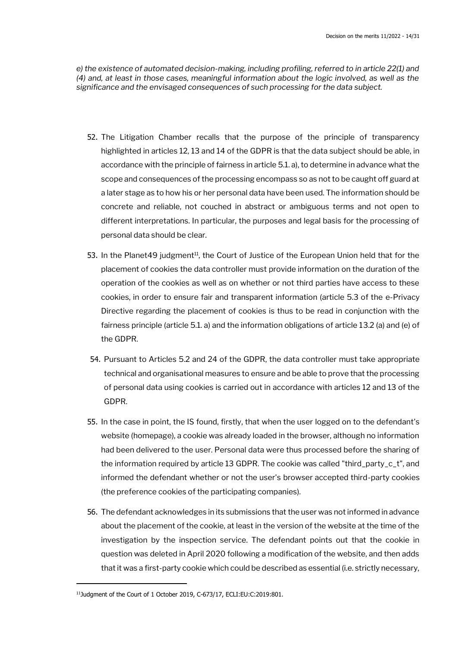*e) the existence of automated decision-making, including profiling, referred to in article 22(1) and (4) and, at least in those cases, meaningful information about the logic involved, as well as the significance and the envisaged consequences of such processing for the data subject.*

- 52. The Litigation Chamber recalls that the purpose of the principle of transparency highlighted in articles 12, 13 and 14 of the GDPR is that the data subject should be able, in accordance with the principle of fairness in article 5.1. a), to determine in advance what the scope and consequences of the processing encompass so as not to be caught off guard at a later stage as to how his or her personal data have been used. The information should be concrete and reliable, not couched in abstract or ambiguous terms and not open to different interpretations. In particular, the purposes and legal basis for the processing of personal data should be clear.
- 53. In the Planet49 judgment<sup>11</sup>, the Court of Justice of the European Union held that for the placement of cookies the data controller must provide information on the duration of the operation of the cookies as well as on whether or not third parties have access to these cookies, in order to ensure fair and transparent information (article 5.3 of the e-Privacy Directive regarding the placement of cookies is thus to be read in conjunction with the fairness principle (article 5.1. a) and the information obligations of article 13.2 (a) and (e) of the GDPR.
- 54. Pursuant to Articles 5.2 and 24 of the GDPR, the data controller must take appropriate technical and organisational measures to ensure and be able to prove that the processing of personal data using cookies is carried out in accordance with articles 12 and 13 of the GDPR.
- 55. In the case in point, the IS found, firstly, that when the user logged on to the defendant's website (homepage), a cookie was already loaded in the browser, although no information had been delivered to the user. Personal data were thus processed before the sharing of the information required by article 13 GDPR. The cookie was called "third\_party\_c\_t", and informed the defendant whether or not the user's browser accepted third-party cookies (the preference cookies of the participating companies).
- 56. The defendant acknowledges in its submissions that the user was not informed in advance about the placement of the cookie, at least in the version of the website at the time of the investigation by the inspection service. The defendant points out that the cookie in question was deleted in April 2020 following a modification of the website, and then adds that it was a first-party cookie which could be described as essential (i.e. strictly necessary,

<sup>11</sup>Judgment of the Court of 1 October 2019, C-673/17, ECLI:EU:C:2019:801.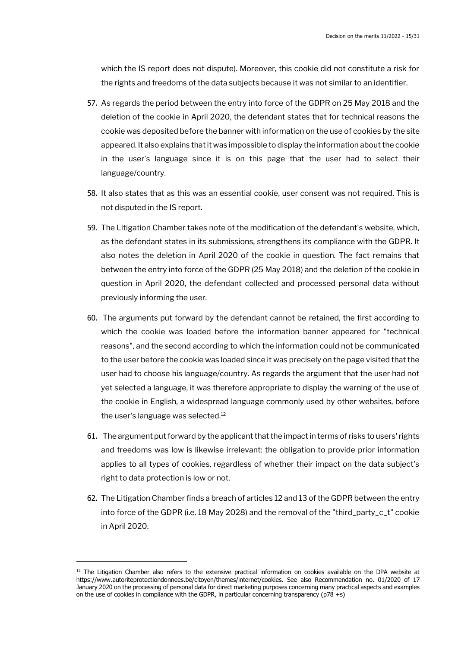which the IS report does not dispute). Moreover, this cookie did not constitute a risk for the rights and freedoms of the data subjects because it was not similar to an identifier.

- 57. As regards the period between the entry into force of the GDPR on 25 May 2018 and the deletion of the cookie in April 2020, the defendant states that for technical reasons the cookie was deposited before the banner with information on the use of cookies by the site appeared. It also explains that it was impossible to display the information about the cookie in the user's language since it is on this page that the user had to select their language/country.
- 58. It also states that as this was an essential cookie, user consent was not required. This is not disputed in the IS report.
- 59. The Litigation Chamber takes note of the modification of the defendant's website, which, as the defendant states in its submissions, strengthens its compliance with the GDPR. It also notes the deletion in April 2020 of the cookie in question. The fact remains that between the entry into force of the GDPR (25 May 2018) and the deletion of the cookie in question in April 2020, the defendant collected and processed personal data without previously informing the user.
- 60. The arguments put forward by the defendant cannot be retained, the first according to which the cookie was loaded before the information banner appeared for "technical reasons", and the second according to which the information could not be communicated to the user before the cookie was loaded since it was precisely on the page visited that the user had to choose his language/country. As regards the argument that the user had not yet selected a language, it was therefore appropriate to display the warning of the use of the cookie in English, a widespread language commonly used by other websites, before the user's language was selected.<sup>12</sup>
- 61. The argument put forward by the applicant that the impact in terms of risks to users' rights and freedoms was low is likewise irrelevant: the obligation to provide prior information applies to all types of cookies, regardless of whether their impact on the data subject's right to data protection is low or not.
- 62. The Litigation Chamber finds a breach of articles 12 and 13 of the GDPR between the entry into force of the GDPR (i.e. 18 May 2028) and the removal of the "third\_party\_c\_t" cookie in April 2020.

 $12$  The Litigation Chamber also refers to the extensive practical information on cookies available on the DPA website at https://www.autoriteprotectiondonnees.be/citoyen/themes/internet/cookies. See also Recommendation no. 01/2020 of 17 January 2020 on the processing of personal data for direct marketing purposes concerning many practical aspects and examples on the use of cookies in compliance with the GDPR, in particular concerning transparency (p78 +s)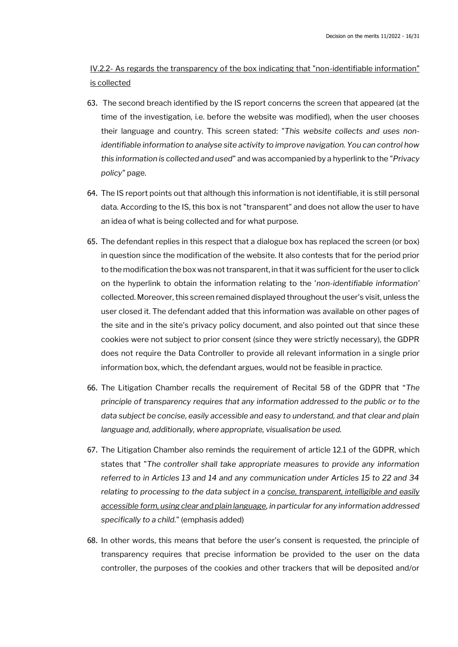IV.2.2- As regards the transparency of the box indicating that "non-identifiable information" is collected

- 63. The second breach identified by the IS report concerns the screen that appeared (at the time of the investigation, i.e. before the website was modified), when the user chooses their language and country. This screen stated: *"This website collects and uses nonidentifiable information to analyse site activity to improve navigation. You can control how this information is collected and used*" and was accompanied by a hyperlink to the *"Privacy policy"* page.
- 64. The IS report points out that although this information is not identifiable, it is still personal data. According to the IS, this box is not "transparent" and does not allow the user to have an idea of what is being collected and for what purpose.
- 65. The defendant replies in this respect that a dialogue box has replaced the screen (or box) in question since the modification of the website. It also contests that for the period prior to the modification the box was not transparent, in that it was sufficient for the user to click on the hyperlink to obtain the information relating to the '*non-identifiable information'*  collected. Moreover, this screen remained displayed throughout the user's visit, unless the user closed it. The defendant added that this information was available on other pages of the site and in the site's privacy policy document, and also pointed out that since these cookies were not subject to prior consent (since they were strictly necessary), the GDPR does not require the Data Controller to provide all relevant information in a single prior information box, which, the defendant argues, would not be feasible in practice.
- 66. The Litigation Chamber recalls the requirement of Recital 58 of the GDPR that "*The principle of transparency requires that any information addressed to the public or to the data subject be concise, easily accessible and easy to understand, and that clear and plain language and, additionally, where appropriate, visualisation be used.*
- 67. The Litigation Chamber also reminds the requirement of article 12.1 of the GDPR, which states that "*The controller shall take appropriate measures to provide any information referred to in Articles 13 and 14 and any communication under Articles 15 to 22 and 34 relating to processing to the data subject in a concise, transparent, intelligible and easily accessible form, using clear and plain language, in particular for any information addressed specifically to a child.*" (emphasis added)
- 68. In other words, this means that before the user's consent is requested, the principle of transparency requires that precise information be provided to the user on the data controller, the purposes of the cookies and other trackers that will be deposited and/or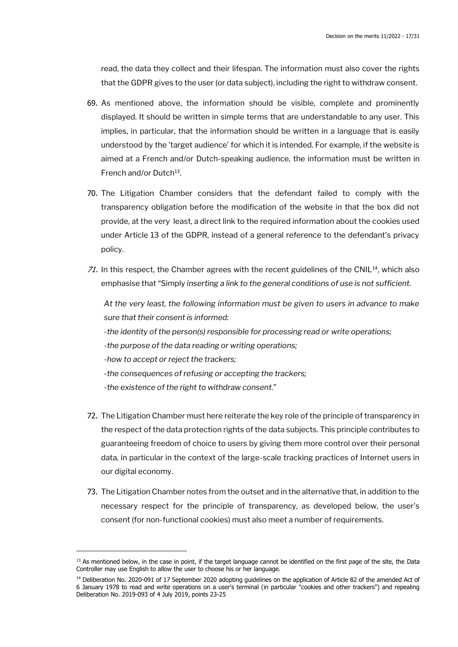read, the data they collect and their lifespan. The information must also cover the rights that the GDPR gives to the user (or data subject), including the right to withdraw consent.

- 69. As mentioned above, the information should be visible, complete and prominently displayed. It should be written in simple terms that are understandable to any user. This implies, in particular, that the information should be written in a language that is easily understood by the 'target audience' for which it is intended. For example, if the website is aimed at a French and/or Dutch-speaking audience, the information must be written in French and/or Dutch<sup>13</sup>.
- 70. The Litigation Chamber considers that the defendant failed to comply with the transparency obligation before the modification of the website in that the box did not provide, at the very least, a direct link to the required information about the cookies used under Article 13 of the GDPR, instead of a general reference to the defendant's privacy policy.
- 71. In this respect, the Chamber agrees with the recent guidelines of the CNIL<sup>14</sup>, which also emphasise that "Simply *inserting a link to the general conditions of use is not sufficient.*

*At the very least, the following information must be given to users in advance to make sure that their consent is informed: -the identity of the person(s) responsible for processing read or write operations; -the purpose of the data reading or writing operations; -how to accept or reject the trackers;* 

- *-the consequences of refusing or accepting the trackers;*
- *-the existence of the right to withdraw consent*."
- 72. The Litigation Chamber must here reiterate the key role of the principle of transparency in the respect of the data protection rights of the data subjects. This principle contributes to guaranteeing freedom of choice to users by giving them more control over their personal data, in particular in the context of the large-scale tracking practices of Internet users in our digital economy.
- 73. The Litigation Chamber notes from the outset and in the alternative that, in addition to the necessary respect for the principle of transparency, as developed below, the user's consent (for non-functional cookies) must also meet a number of requirements.

<sup>&</sup>lt;sup>13</sup> As mentioned below, in the case in point, if the target language cannot be identified on the first page of the site, the Data Controller may use English to allow the user to choose his or her language.

<sup>&</sup>lt;sup>14</sup> Deliberation No. 2020-091 of 17 September 2020 adopting guidelines on the application of Article 82 of the amended Act of 6 January 1978 to read and write operations on a user's terminal (in particular "cookies and other trackers") and repealing Deliberation No. 2019-093 of 4 July 2019, points 23-25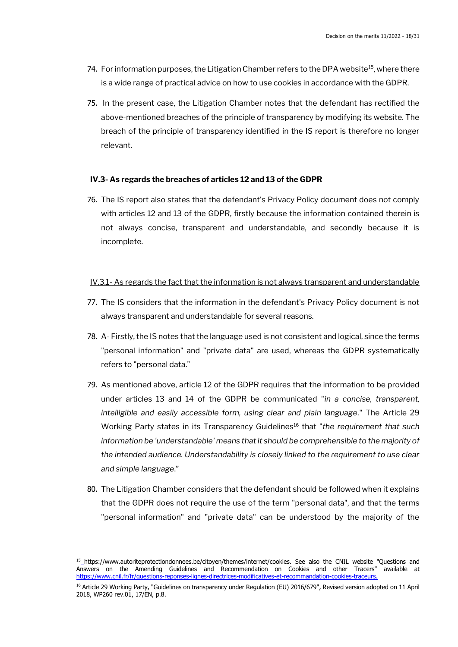- 74. For information purposes, the Litigation Chamber refers to the DPA website<sup>15</sup>, where there is a wide range of practical advice on how to use cookies in accordance with the GDPR.
- 75. In the present case, the Litigation Chamber notes that the defendant has rectified the above-mentioned breaches of the principle of transparency by modifying its website. The breach of the principle of transparency identified in the IS report is therefore no longer relevant.

#### **IV.3- As regards the breaches of articles 12 and 13 of the GDPR**

76. The IS report also states that the defendant's Privacy Policy document does not comply with articles 12 and 13 of the GDPR, firstly because the information contained therein is not always concise, transparent and understandable, and secondly because it is incomplete.

#### IV.3.1- As regards the fact that the information is not always transparent and understandable

- 77. The IS considers that the information in the defendant's Privacy Policy document is not always transparent and understandable for several reasons.
- 78. A- Firstly, the IS notes that the language used is not consistent and logical, since the terms "personal information" and "private data" are used, whereas the GDPR systematically refers to "personal data."
- 79. As mentioned above, article 12 of the GDPR requires that the information to be provided under articles 13 and 14 of the GDPR be communicated "*in a concise, transparent, intelligible and easily accessible form, using clear and plain language.*" The Article 29 Working Party states in its Transparency Guidelines<sup>16</sup> that "the requirement that such *information be 'understandable' means that it should be comprehensible to the majority of the intended audience. Understandability is closely linked to the requirement to use clear and simple language*."
- 80. The Litigation Chamber considers that the defendant should be followed when it explains that the GDPR does not require the use of the term "personal data", and that the terms "personal information" and "private data" can be understood by the majority of the

<sup>&</sup>lt;sup>15</sup>\_https://www.autoriteprotectiondonnees.be/citoyen/themes/internet/cookies. See also the CNIL website "Questions and Answers on the Amending Guidelines and Recommendation on Cookies and other Tracers" available at https://www.cnil.fr/fr/questions-reponses-lignes-directrices-modificatives-et-recommandation-cookies-traceurs.

<sup>&</sup>lt;sup>16</sup> Article 29 Working Party, "Guidelines on transparency under Regulation (EU) 2016/679", Revised version adopted on 11 April 2018, WP260 rev.01, 17/EN, p.8.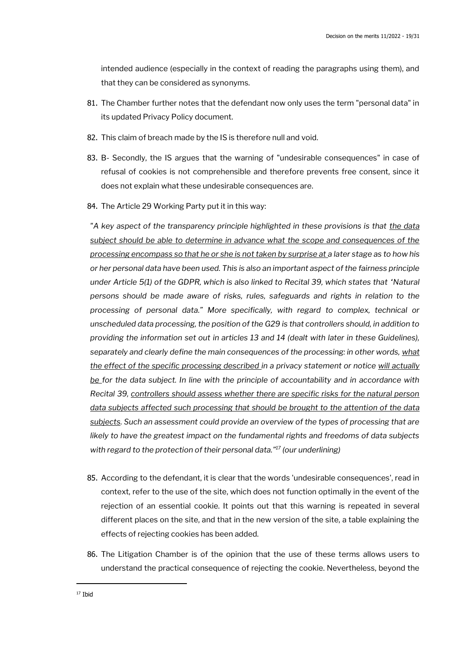intended audience (especially in the context of reading the paragraphs using them), and that they can be considered as synonyms.

- 81. The Chamber further notes that the defendant now only uses the term "personal data" in its updated Privacy Policy document.
- 82. This claim of breach made by the IS is therefore null and void.
- 83. B- Secondly, the IS argues that the warning of "undesirable consequences" in case of refusal of cookies is not comprehensible and therefore prevents free consent, since it does not explain what these undesirable consequences are.
- 84. The Article 29 Working Party put it in this way:

*"A key aspect of the transparency principle highlighted in these provisions is that the data subject should be able to determine in advance what the scope and consequences of the processing encompass so that he or she is not taken by surprise at a later stage as to how his or her personal data have been used. This is also an important aspect of the fairness principle under Article 5(1) of the GDPR, which is also linked to Recital 39, which states that 'Natural and the GDPR. which states that*  $\alpha$ *persons should be made aware of risks, rules, safeguards and rights in relation to the processing of personal data." More specifically, with regard to complex, technical or unscheduled data processing, the position of the G29 is that controllers should, in addition to providing the information set out in articles 13 and 14 (dealt with later in these Guidelines), separately and clearly define the main consequences of the processing: in other words, what the effect of the specific processing described in a privacy statement or notice will actually be for the data subject. In line with the principle of accountability and in accordance with Recital 39, controllers should assess whether there are specific risks for the natural person data subjects affected such processing that should be brought to the attention of the data subjects. Such an assessment could provide an overview of the types of processing that are likely to have the greatest impact on the fundamental rights and freedoms of data subjects with regard to the protection of their personal data." <sup>17</sup> (our underlining)*

- 85. According to the defendant, it is clear that the words 'undesirable consequences', read in context, refer to the use of the site, which does not function optimally in the event of the rejection of an essential cookie. It points out that this warning is repeated in several different places on the site, and that in the new version of the site, a table explaining the effects of rejecting cookies has been added.
- 86. The Litigation Chamber is of the opinion that the use of these terms allows users to understand the practical consequence of rejecting the cookie. Nevertheless, beyond the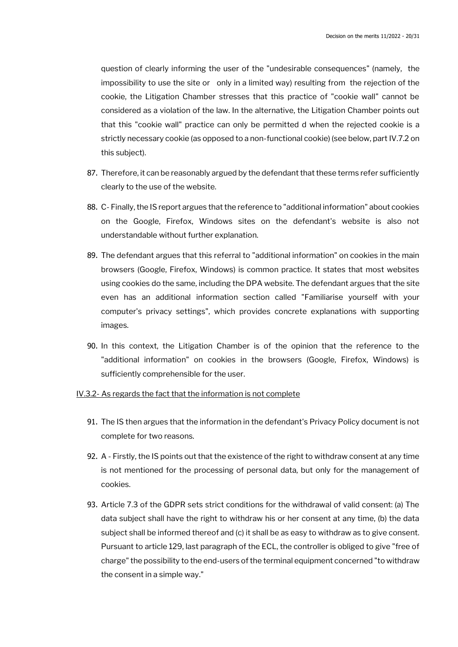question of clearly informing the user of the "undesirable consequences" (namely, the impossibility to use the site or only in a limited way) resulting from the rejection of the cookie, the Litigation Chamber stresses that this practice of "cookie wall" cannot be considered as a violation of the law. In the alternative, the Litigation Chamber points out that this "cookie wall" practice can only be permitted d when the rejected cookie is a strictly necessary cookie (as opposed to a non-functional cookie) (see below, part IV.7.2 on this subject).

- 87. Therefore, it can be reasonably argued by the defendant that these terms refer sufficiently clearly to the use of the website.
- 88. C- Finally, the IS report argues that the reference to "additional information" about cookies on the Google, Firefox, Windows sites on the defendant's website is also not understandable without further explanation.
- 89. The defendant argues that this referral to "additional information" on cookies in the main browsers (Google, Firefox, Windows) is common practice. It states that most websites using cookies do the same, including the DPA website. The defendant argues that the site even has an additional information section called "Familiarise yourself with your computer's privacy settings", which provides concrete explanations with supporting images.
- 90. In this context, the Litigation Chamber is of the opinion that the reference to the "additional information" on cookies in the browsers (Google, Firefox, Windows) is sufficiently comprehensible for the user.

#### IV.3.2- As regards the fact that the information is not complete

- 91. The IS then argues that the information in the defendant's Privacy Policy document is not complete for two reasons.
- 92. A Firstly, the IS points out that the existence of the right to withdraw consent at any time is not mentioned for the processing of personal data, but only for the management of cookies.
- 93. Article 7.3 of the GDPR sets strict conditions for the withdrawal of valid consent: (a) The data subject shall have the right to withdraw his or her consent at any time, (b) the data subject shall be informed thereof and (c) it shall be as easy to withdraw as to give consent. Pursuant to article 129, last paragraph of the ECL, the controller is obliged to give "free of charge" the possibility to the end-users of the terminal equipment concerned "to withdraw the consent in a simple way."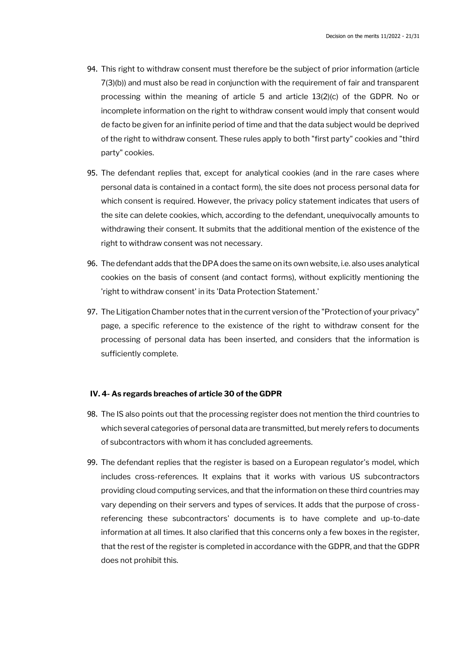- 94. This right to withdraw consent must therefore be the subject of prior information (article 7(3)(b)) and must also be read in conjunction with the requirement of fair and transparent processing within the meaning of article 5 and article 13(2)(c) of the GDPR. No or incomplete information on the right to withdraw consent would imply that consent would de facto be given for an infinite period of time and that the data subject would be deprived of the right to withdraw consent. These rules apply to both "first party" cookies and "third party" cookies.
- 95. The defendant replies that, except for analytical cookies (and in the rare cases where personal data is contained in a contact form), the site does not process personal data for which consent is required. However, the privacy policy statement indicates that users of the site can delete cookies, which, according to the defendant, unequivocally amounts to withdrawing their consent. It submits that the additional mention of the existence of the right to withdraw consent was not necessary.
- 96. The defendant adds that the DPA does the same on its own website, i.e. also uses analytical cookies on the basis of consent (and contact forms), without explicitly mentioning the 'right to withdraw consent' in its 'Data Protection Statement.'
- 97. The Litigation Chamber notes that in the current version of the "Protection of your privacy" page, a specific reference to the existence of the right to withdraw consent for the processing of personal data has been inserted, and considers that the information is sufficiently complete.

#### **IV. 4- As regards breaches of article 30 of the GDPR**

- 98. The IS also points out that the processing register does not mention the third countries to which several categories of personal data are transmitted, but merely refers to documents of subcontractors with whom it has concluded agreements.
- 99. The defendant replies that the register is based on a European regulator's model, which includes cross-references. It explains that it works with various US subcontractors providing cloud computing services, and that the information on these third countries may vary depending on their servers and types of services. It adds that the purpose of crossreferencing these subcontractors' documents is to have complete and up-to-date information at all times. It also clarified that this concerns only a few boxes in the register, that the rest of the register is completed in accordance with the GDPR, and that the GDPR does not prohibit this.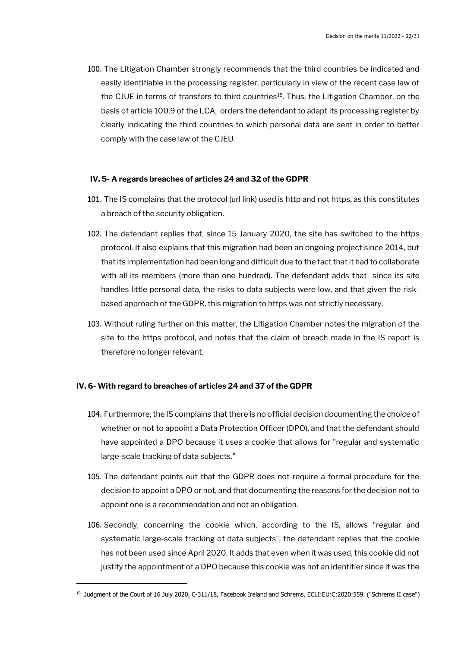100. The Litigation Chamber strongly recommends that the third countries be indicated and easily identifiable in the processing register, particularly in view of the recent case law of the CJUE in terms of transfers to third countries<sup>18</sup>. Thus, the Litigation Chamber, on the basis of article 100.9 of the LCA, orders the defendant to adapt its processing register by clearly indicating the third countries to which personal data are sent in order to better comply with the case law of the CJEU.

#### **IV. 5- A regards breaches of articles 24 and 32 of the GDPR**

- 101. The IS complains that the protocol (url link) used is http and not https, as this constitutes a breach of the security obligation.
- 102. The defendant replies that, since 15 January 2020, the site has switched to the https protocol. It also explains that this migration had been an ongoing project since 2014, but that its implementation had been long and difficult due to the fact that it had to collaborate with all its members (more than one hundred). The defendant adds that since its site handles little personal data, the risks to data subjects were low, and that given the riskbased approach of the GDPR, this migration to https was not strictly necessary.
- 103. Without ruling further on this matter, the Litigation Chamber notes the migration of the site to the https protocol, and notes that the claim of breach made in the IS report is therefore no longer relevant.

#### **IV. 6- With regard to breaches of articles 24 and 37 of the GDPR**

- 104. Furthermore, the IS complains that there is no official decision documenting the choice of whether or not to appoint a Data Protection Officer (DPO), and that the defendant should have appointed a DPO because it uses a cookie that allows for "regular and systematic large-scale tracking of data subjects."
- 105. The defendant points out that the GDPR does not require a formal procedure for the decision to appoint a DPO or not, and that documenting the reasons for the decision not to appoint one is a recommendation and not an obligation.
- 106. Secondly, concerning the cookie which, according to the IS, allows "regular and systematic large-scale tracking of data subjects", the defendant replies that the cookie has not been used since April 2020. It adds that even when it was used, this cookie did not justify the appointment of a DPO because this cookie was not an identifier since it was the

<sup>18</sup> Judgment of the Court of 16 July 2020, C-311/18, Facebook Ireland and Schrems, ECLI:EU:C:2020:559. ("Schrems II case")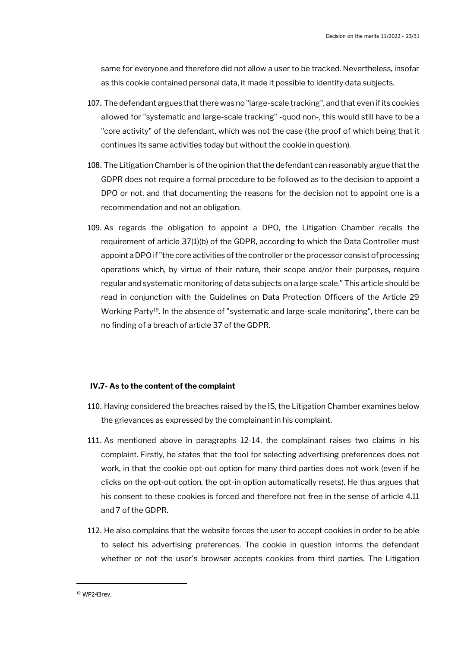same for everyone and therefore did not allow a user to be tracked. Nevertheless, insofar as this cookie contained personal data, it made it possible to identify data subjects.

- 107. The defendant argues that there was no "large-scale tracking", and that even if its cookies allowed for "systematic and large-scale tracking" -quod non-, this would still have to be a "core activity" of the defendant, which was not the case (the proof of which being that it continues its same activities today but without the cookie in question).
- 108. The Litigation Chamber is of the opinion that the defendant can reasonably argue that the GDPR does not require a formal procedure to be followed as to the decision to appoint a DPO or not, and that documenting the reasons for the decision not to appoint one is a recommendation and not an obligation.
- 109. As regards the obligation to appoint a DPO, the Litigation Chamber recalls the requirement of article 37(1)(b) of the GDPR, according to which the Data Controller must appoint a DPO if "the core activities of the controller or the processor consist of processing operations which, by virtue of their nature, their scope and/or their purposes, require regular and systematic monitoring of data subjects on a large scale." This article should be read in conjunction with the Guidelines on Data Protection Officers of the Article 29 Working Party<sup>19</sup>. In the absence of "systematic and large-scale monitoring", there can be no finding of a breach of article 37 of the GDPR.

#### **IV.7- As to the content of the complaint**

- 110. Having considered the breaches raised by the IS, the Litigation Chamber examines below the grievances as expressed by the complainant in his complaint.
- 111. As mentioned above in paragraphs 12-14, the complainant raises two claims in his complaint. Firstly, he states that the tool for selecting advertising preferences does not work, in that the cookie opt-out option for many third parties does not work (even if he clicks on the opt-out option, the opt-in option automatically resets). He thus argues that his consent to these cookies is forced and therefore not free in the sense of article 4.11 and 7 of the GDPR.
- 112. He also complains that the website forces the user to accept cookies in order to be able to select his advertising preferences. The cookie in question informs the defendant whether or not the user's browser accepts cookies from third parties. The Litigation

<sup>19</sup> WP243rev.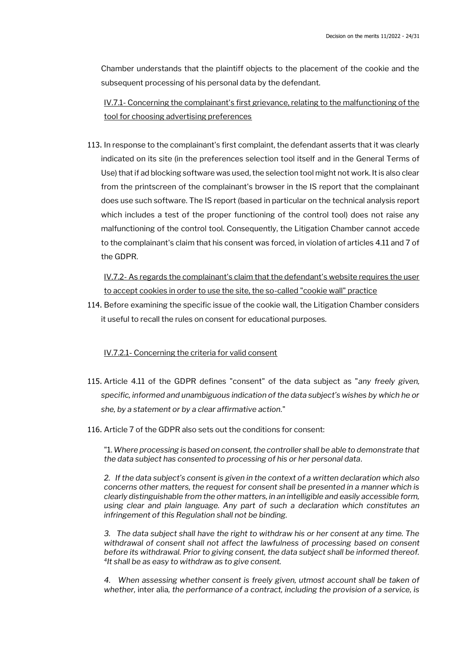Chamber understands that the plaintiff objects to the placement of the cookie and the subsequent processing of his personal data by the defendant.

IV.7.1- Concerning the complainant's first grievance, relating to the malfunctioning of the tool for choosing advertising preferences

113. In response to the complainant's first complaint, the defendant asserts that it was clearly indicated on its site (in the preferences selection tool itself and in the General Terms of Use) that if ad blocking software was used, the selection tool might not work. It is also clear from the printscreen of the complainant's browser in the IS report that the complainant does use such software. The IS report (based in particular on the technical analysis report which includes a test of the proper functioning of the control tool) does not raise any malfunctioning of the control tool. Consequently, the Litigation Chamber cannot accede to the complainant's claim that his consent was forced, in violation of articles 4.11 and 7 of the GDPR.

IV.7.2- As regards the complainant's claim that the defendant's website requires the user to accept cookies in order to use the site, the so-called "cookie wall" practice

114. Before examining the specific issue of the cookie wall, the Litigation Chamber considers it useful to recall the rules on consent for educational purposes.

## IV.7.2.1- Concerning the criteria for valid consent

- 115. Article 4.11 of the GDPR defines "consent" of the data subject as "*any freely given, specific, informed and unambiguous indication of the data subject's wishes by which he or she, by a statement or by a clear affirmative action.*"
- 116. Article 7 of the GDPR also sets out the conditions for consent:

"1. *Where processing is based on consent, the controller shall be able to demonstrate that the data subject has consented to processing of his or her personal data*.

*2. If the data subject's consent is given in the context of a written declaration which also concerns other matters, the request for consent shall be presented in a manner which is clearly distinguishable from the other matters, in an intelligible and easily accessible form, using clear and plain language. Any part of such a declaration which constitutes an infringement of this Regulation shall not be binding.*

*3. The data subject shall have the right to withdraw his or her consent at any time. The withdrawal of consent shall not affect the lawfulness of processing based on consent before its withdrawal. Prior to giving consent, the data subject shall be informed thereof. 4 It shall be as easy to withdraw as to give consent.*

*4. When assessing whether consent is freely given, utmost account shall be taken of whether,* inter alia*, the performance of a contract, including the provision of a service, is*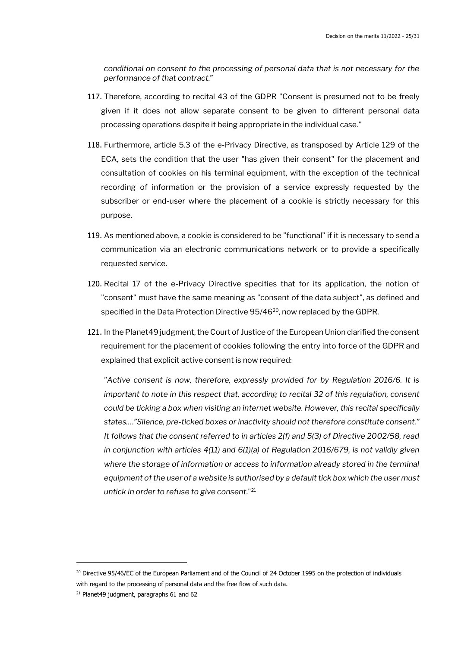*conditional on consent to the processing of personal data that is not necessary for the performance of that contract.*"

- 117. Therefore, according to recital 43 of the GDPR "Consent is presumed not to be freely given if it does not allow separate consent to be given to different personal data processing operations despite it being appropriate in the individual case."
- 118. Furthermore, article 5.3 of the e-Privacy Directive, as transposed by Article 129 of the ECA, sets the condition that the user "has given their consent" for the placement and consultation of cookies on his terminal equipment, with the exception of the technical recording of information or the provision of a service expressly requested by the subscriber or end-user where the placement of a cookie is strictly necessary for this purpose.
- 119. As mentioned above, a cookie is considered to be "functional" if it is necessary to send a communication via an electronic communications network or to provide a specifically requested service.
- 120. Recital 17 of the e-Privacy Directive specifies that for its application, the notion of "consent" must have the same meaning as "consent of the data subject", as defined and specified in the Data Protection Directive 95/46<sup>20</sup>, now replaced by the GDPR.
- 121. In the Planet49 judgment, the Court of Justice of the European Union clarified the consent requirement for the placement of cookies following the entry into force of the GDPR and explained that explicit active consent is now required:

*"Active consent is now, therefore, expressly provided for by Regulation 2016/6. It is important to note in this respect that, according to recital 32 of this regulation, consent could be ticking a box when visiting an internet website. However, this recital specifically states…."Silence, pre-ticked boxes or inactivity should not therefore constitute consent." It follows that the consent referred to in articles 2(f) and 5(3) of Directive 2002/58, read in conjunction with articles 4(11) and 6(1)(a) of Regulation 2016/679, is not validly given where the storage of information or access to information already stored in the terminal equipment of the user of a website is authorised by a default tick box which the user must untick in order to refuse to give consent*."<sup>21</sup>

<sup>&</sup>lt;sup>20</sup> Directive 95/46/EC of the European Parliament and of the Council of 24 October 1995 on the protection of individuals with regard to the processing of personal data and the free flow of such data.

<sup>&</sup>lt;sup>21</sup> Planet49 judgment, paragraphs 61 and 62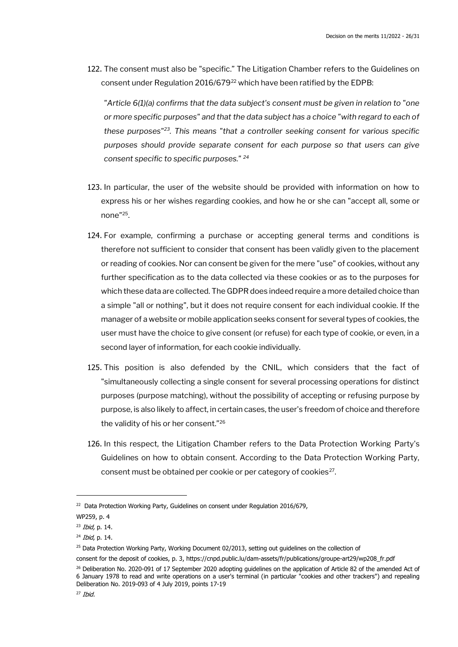122. The consent must also be "specific." The Litigation Chamber refers to the Guidelines on consent under Regulation 2016/679<sup>22</sup> which have been ratified by the EDPB:

*"Article 6(1)(a) confirms that the data subject's consent must be given in relation to "one or more specific purposes" and that the data subject has a choice "with regard to each of these purposes"<sup>23</sup>. This means "that a controller seeking consent for various specific purposes should provide separate consent for each purpose so that users can give consent specific to specific purposes." <sup>24</sup>*

- 123. In particular, the user of the website should be provided with information on how to express his or her wishes regarding cookies, and how he or she can "accept all, some or none"<sup>25</sup> .
- 124. For example, confirming a purchase or accepting general terms and conditions is therefore not sufficient to consider that consent has been validly given to the placement or reading of cookies. Nor can consent be given for the mere "use" of cookies, without any further specification as to the data collected via these cookies or as to the purposes for which these data are collected. The GDPR does indeed require a more detailed choice than a simple "all or nothing", but it does not require consent for each individual cookie. If the manager of a website or mobile application seeks consent for several types of cookies, the user must have the choice to give consent (or refuse) for each type of cookie, or even, in a second layer of information, for each cookie individually.
- 125. This position is also defended by the CNIL, which considers that the fact of "simultaneously collecting a single consent for several processing operations for distinct purposes (purpose matching), without the possibility of accepting or refusing purpose by purpose, is also likely to affect, in certain cases, the user's freedom of choice and therefore the validity of his or her consent."<sup>26</sup>
- 126. In this respect, the Litigation Chamber refers to the Data Protection Working Party's Guidelines on how to obtain consent. According to the Data Protection Working Party, consent must be obtained per cookie or per category of cookies<sup>27</sup>.

 $22$  Data Protection Working Party, Guidelines on consent under Regulation 2016/679,

WP259, p. 4

 $23$  *Ibid*, p. 14.

 $24$  *Ibid*, p. 14.

<sup>&</sup>lt;sup>25</sup> Data Protection Working Party, Working Document 02/2013, setting out quidelines on the collection of

consent for the deposit of cookies, p. 3, https://cnpd.public.lu/dam-assets/fr/publications/groupe-art29/wp208\_fr.pdf

<sup>&</sup>lt;sup>26</sup> Deliberation No. 2020-091 of 17 September 2020 adopting guidelines on the application of Article 82 of the amended Act of 6 January 1978 to read and write operations on a user's terminal (in particular "cookies and other trackers") and repealing Deliberation No. 2019-093 of 4 July 2019, points 17-19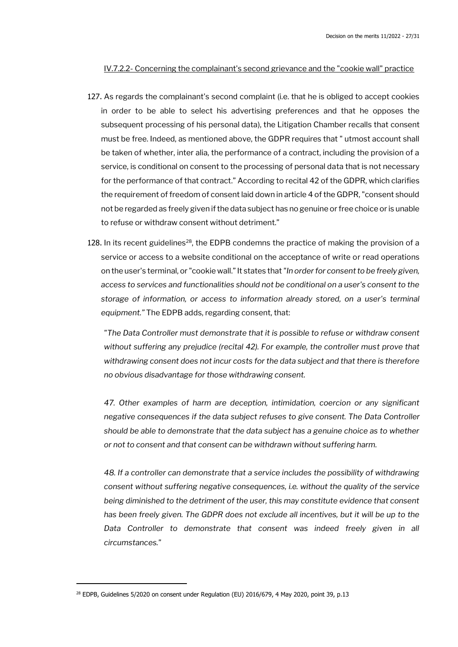### IV.7.2.2- Concerning the complainant's second grievance and the "cookie wall" practice

- 127. As regards the complainant's second complaint (i.e. that he is obliged to accept cookies in order to be able to select his advertising preferences and that he opposes the subsequent processing of his personal data), the Litigation Chamber recalls that consent must be free. Indeed, as mentioned above, the GDPR requires that " utmost account shall be taken of whether, inter alia, the performance of a contract, including the provision of a service, is conditional on consent to the processing of personal data that is not necessary for the performance of that contract." According to recital 42 of the GDPR, which clarifies the requirement of freedom of consent laid down in article 4 of the GDPR, "consent should not be regarded as freely given if the data subject has no genuine or free choice or is unable to refuse or withdraw consent without detriment."
- 128. In its recent guidelines<sup>28</sup>, the EDPB condemns the practice of making the provision of a service or access to a website conditional on the acceptance of write or read operations on the user's terminal, or "cookie wall."It states that *"In order for consent to be freely given, access to services and functionalities should not be conditional on a user's consent to the storage of information, or access to information already stored, on a user's terminal equipment."* The EDPB adds, regarding consent, that:

*"The Data Controller must demonstrate that it is possible to refuse or withdraw consent without suffering any prejudice (recital 42). For example, the controller must prove that withdrawing consent does not incur costs for the data subject and that there is therefore no obvious disadvantage for those withdrawing consent.*

*47. Other examples of harm are deception, intimidation, coercion or any significant negative consequences if the data subject refuses to give consent. The Data Controller should be able to demonstrate that the data subject has a genuine choice as to whether or not to consent and that consent can be withdrawn without suffering harm.*

*48. If a controller can demonstrate that a service includes the possibility of withdrawing consent without suffering negative consequences, i.e. without the quality of the service being diminished to the detriment of the user, this may constitute evidence that consent*  has been freely given. The GDPR does not exclude all incentives, but it will be up to the Data Controller to demonstrate that consent was indeed freely given in all *circumstances."*

<sup>&</sup>lt;sup>28</sup> EDPB, Guidelines 5/2020 on consent under Regulation (EU) 2016/679, 4 May 2020, point 39, p.13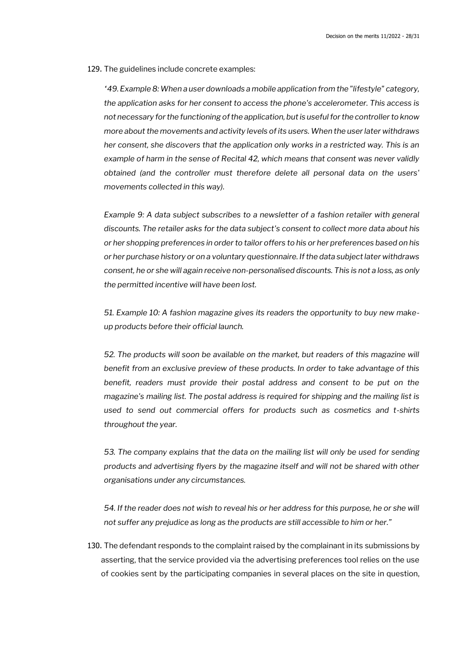129. The guidelines include concrete examples:

*"49. Example 8: When a user downloads a mobile application from the "lifestyle" category, the application asks for her consent to access the phone's accelerometer. This access is not necessary for the functioning of the application, but is useful for the controller to know more about the movements and activity levels of its users. When the user later withdraws her consent, she discovers that the application only works in a restricted way. This is an example of harm in the sense of Recital 42, which means that consent was never validly obtained (and the controller must therefore delete all personal data on the users' movements collected in this way).*

*Example 9: A data subject subscribes to a newsletter of a fashion retailer with general discounts. The retailer asks for the data subject's consent to collect more data about his or her shopping preferences in order to tailor offers to his or her preferences based on his or her purchase history or on a voluntary questionnaire. If the data subject later withdraws consent, he or she will again receive non-personalised discounts. This is not a loss, as only the permitted incentive will have been lost.*

*51. Example 10: A fashion magazine gives its readers the opportunity to buy new makeup products before their official launch.*

*52. The products will soon be available on the market, but readers of this magazine will benefit from an exclusive preview of these products. In order to take advantage of this benefit, readers must provide their postal address and consent to be put on the magazine's mailing list. The postal address is required for shipping and the mailing list is used to send out commercial offers for products such as cosmetics and t-shirts throughout the year.*

*53. The company explains that the data on the mailing list will only be used for sending products and advertising flyers by the magazine itself and will not be shared with other organisations under any circumstances.*

*54. If the reader does not wish to reveal his or her address for this purpose, he or she will not suffer any prejudice as long as the products are still accessible to him or her."*

130. The defendant responds to the complaint raised by the complainant in its submissions by asserting, that the service provided via the advertising preferences tool relies on the use of cookies sent by the participating companies in several places on the site in question,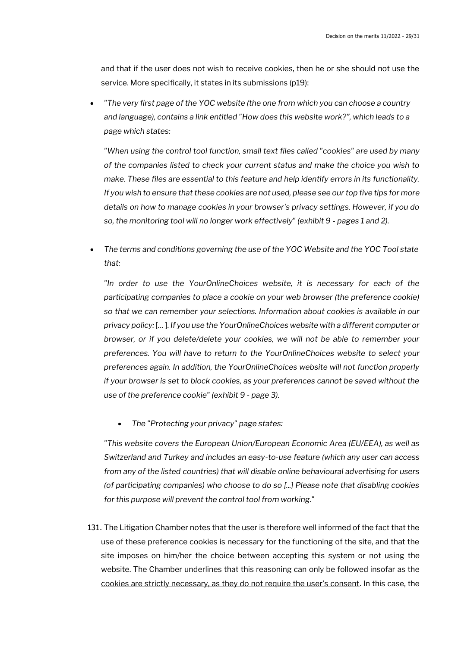and that if the user does not wish to receive cookies, then he or she should not use the service. More specifically, it states in its submissions (p19):

• *"The very first page of the YOC website (the one from which you can choose a country and language), contains a link entitled "How does this website work?", which leads to a page which states:*

*"When using the control tool function, small text files called "cookies" are used by many of the companies listed to check your current status and make the choice you wish to make. These files are essential to this feature and help identify errors in its functionality. If you wish to ensure that these cookies are not used, please see our top five tips for more details on how to manage cookies in your browser's privacy settings. However, if you do so, the monitoring tool will no longer work effectively" (exhibit 9 - pages 1 and 2).*

• *The terms and conditions governing the use of the YOC Website and the YOC Tool state that:*

*"In order to use the YourOnlineChoices website, it is necessary for each of the participating companies to place a cookie on your web browser (the preference cookie) so that we can remember your selections. Information about cookies is available in our privacy policy:* [… ]. *If you use the YourOnlineChoices website with a different computer or browser, or if you delete/delete your cookies, we will not be able to remember your preferences. You will have to return to the YourOnlineChoices website to select your preferences again. In addition, the YourOnlineChoices website will not function properly if your browser is set to block cookies, as your preferences cannot be saved without the use of the preference cookie" (exhibit 9 - page 3).*

• *The "Protecting your privacy" page states:*

*"This website covers the European Union/European Economic Area (EU/EEA), as well as Switzerland and Turkey and includes an easy-to-use feature (which any user can access from any of the listed countries) that will disable online behavioural advertising for users (of participating companies) who choose to do so [...] Please note that disabling cookies for this purpose will prevent the control tool from working*."

131. The Litigation Chamber notes that the user is therefore well informed of the fact that the use of these preference cookies is necessary for the functioning of the site, and that the site imposes on him/her the choice between accepting this system or not using the website. The Chamber underlines that this reasoning can only be followed insofar as the cookies are strictly necessary, as they do not require the user's consent. In this case, the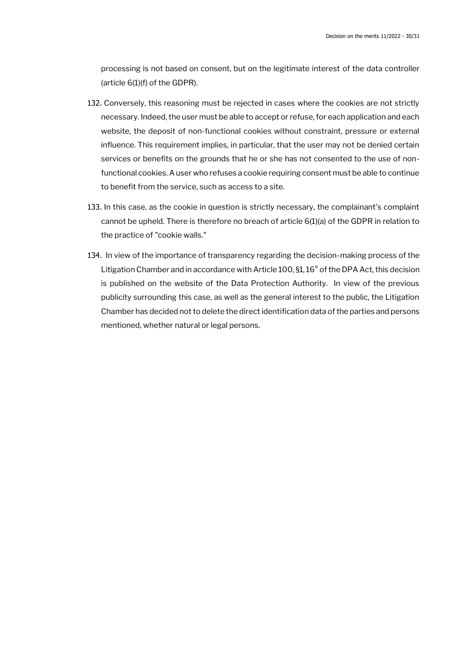processing is not based on consent, but on the legitimate interest of the data controller (article 6(1)(f) of the GDPR).

- 132. Conversely, this reasoning must be rejected in cases where the cookies are not strictly necessary. Indeed, the user must be able to accept or refuse, for each application and each website, the deposit of non-functional cookies without constraint, pressure or external influence. This requirement implies, in particular, that the user may not be denied certain services or benefits on the grounds that he or she has not consented to the use of nonfunctional cookies. A user who refuses a cookie requiring consent must be able to continue to benefit from the service, such as access to a site.
- 133. In this case, as the cookie in question is strictly necessary, the complainant's complaint cannot be upheld. There is therefore no breach of article 6(1)(a) of the GDPR in relation to the practice of "cookie walls."
- 134. In view of the importance of transparency regarding the decision-making process of the Litigation Chamber and in accordance with Article 100, §1, 16° of the DPA Act, this decision is published on the website of the Data Protection Authority. In view of the previous publicity surrounding this case, as well as the general interest to the public, the Litigation Chamber has decided not to delete the direct identification data of the parties and persons mentioned, whether natural or legal persons.